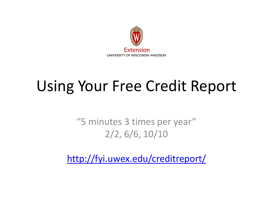

## Using Your Free Credit Report

"5 minutes 3 times per year" 2/2, 6/6, 10/10

<http://fyi.uwex.edu/creditreport/>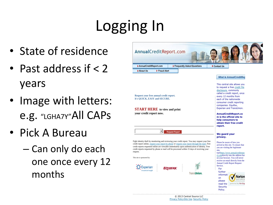# Logging In

- State of residence
- Past address if < 2 years
- Image with letters: e.g. "LGHA7Y"All CAPs
- Pick A Bureau
	- Can only do each one once every 12 months



Policy.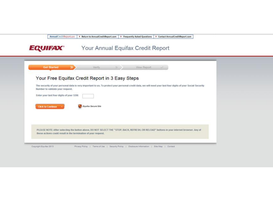AnnualCreditReport.com > Return to AnnualCreditReport.com > Frequently Asked Questions | > Contact AnnualCreditReport.com

Your Annual Equifax Credit Report **EQUIFAX** 

|                                          | Your Free Equifax Credit Report in 3 Easy Steps                                                                                                                                                              |  |
|------------------------------------------|--------------------------------------------------------------------------------------------------------------------------------------------------------------------------------------------------------------|--|
| Number to validate your request.         | The security of your personal data is very important to us. To protect your personal credit data, we will need your last four digits of your Social Security                                                 |  |
| Enter your last four digits of your SSN: |                                                                                                                                                                                                              |  |
| <b>Click to Continue</b>                 | Equitax Secure Site                                                                                                                                                                                          |  |
|                                          | PLEASE NOTE: After selecting the button above, DO NOT SELECT THE "STOP, BACK, REFRESH, OR RELOAD" buttons in your internet browser. Any of<br>these actions could result in the termination of your request. |  |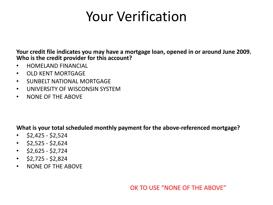### Your Verification

**Your credit file indicates you may have a mortgage loan, opened in or around June 2009. Who is the credit provider for this account?** 

- HOMELAND FINANCIAL
- OLD KENT MORTGAGE
- SUNBELT NATIONAL MORTGAGE
- UNIVERSITY OF WISCONSIN SYSTEM
- NONE OF THE ABOVE

**What is your total scheduled monthly payment for the above-referenced mortgage?** 

- $\cdot$  \$2,425 \$2,524
- $\cdot$  \$2,525 \$2,624
- $\cdot$  \$2,625 \$2,724
- $\cdot$  \$2,725 \$2,824
- NONE OF THE ABOVE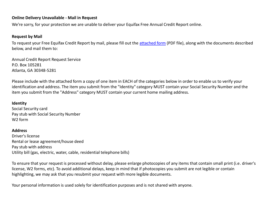#### **Online Delivery Unavailable - Mail in Request**

We're sorry, for your protection we are unable to deliver your Equifax Free Annual Credit Report online.

#### **Request by Mail**

To request your Free Equifax Credit Report by mail, please fill out the [attached form](https://fact.econsumer.equifax.com/equicom/prod/images/uib/images/MailInDislcosureRequest.pdf) (PDF file), along with the documents described below, and mail them to:

Annual Credit Report Request Service P.O. Box 105281 Atlanta, GA 30348-5281

Please include with the attached form a copy of one item in EACH of the categories below in order to enable us to verify your identification and address. The item you submit from the "Identity" category MUST contain your Social Security Number and the item you submit from the "Address" category MUST contain your current home mailing address.

### **Identity**

Social Security card Pay stub with Social Security Number W2 form

#### **Address**

Driver's license Rental or lease agreement/house deed Pay stub with address Utility bill (gas, electric, water, cable, residential telephone bills)

To ensure that your request is processed without delay, please enlarge photocopies of any items that contain small print (i.e. driver's license, W2 forms, etc). To avoid additional delays, keep in mind that if photocopies you submit are not legible or contain highlighting, we may ask that you resubmit your request with more legible documents.

Your personal information is used solely for identification purposes and is not shared with anyone.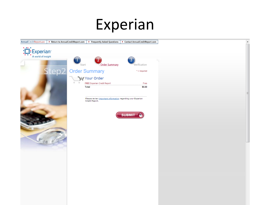### Experian

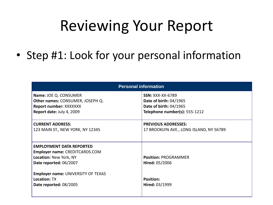## Reviewing Your Report

• Step #1: Look for your personal information

| <b>Personal information</b>                                                                                                  |                                                                                                                            |  |  |
|------------------------------------------------------------------------------------------------------------------------------|----------------------------------------------------------------------------------------------------------------------------|--|--|
| Name: JOE Q. CONSUMER<br>Other names: CONSUMER, JOSEPH Q.<br>Report number: XXXXXXX<br>Report date: July 4, 2009             | <b>SSN: XXX-XX-6789</b><br><b>Date of birth: 04/1965</b><br><b>Date of birth: 04/1965</b><br>Telephone number(s): 555-1212 |  |  |
| <b>CURRENT ADDRESS:</b><br>123 MAIN ST., NEW YORK, NY 12345                                                                  | <b>PREVIOUS ADDRESSES:</b><br>17 BROOKLYN AVE., LONG ISLAND, NY 56789                                                      |  |  |
| <b>EMPLOYMENT DATA REPORTED</b><br><b>Employer name: CREDITCARDS.COM</b><br>Location: New York, NY<br>Date reported: 06/2007 | <b>Position: PROGRAMMER</b><br>Hired: 05/2006                                                                              |  |  |
| Employer name: UNIVERSITY OF TEXAS<br><b>Location: TX</b><br>Date reported: 08/2005                                          | <b>Position:</b><br>Hired: 03/1999                                                                                         |  |  |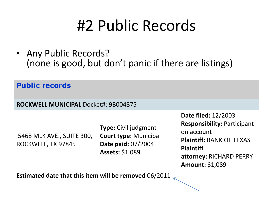## #2 Public Records

• Any Public Records? (none is good, but don't panic if there are listings)

**Public records**

**ROCKWELL MUNICIPAL** Docket#: 9B004875

5468 MLK AVE., SUITE 300, ROCKWELL, TX 97845

**Type:** Civil judgment **Court type:** Municipal **Date paid:** 07/2004 **Assets:** \$1,089

**Date filed:** 12/2003 **Responsibility:** Participant on account **Plaintiff:** BANK OF TEXAS **Plaintiff attorney:** RICHARD PERRY **Amount:** \$1,089

**Estimated date that this item will be removed** 06/2011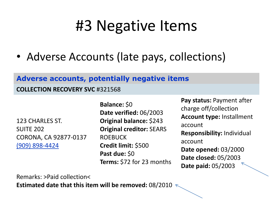## #3 Negative Items

• Adverse Accounts (late pays, collections)

### **Adverse accounts, potentially negative items**

**COLLECTION RECOVERY SVC** #321568

123 CHARLES ST. SUITE 202 CORONA, CA 92877-0137 (909) 898-4424

**Balance:** \$0 **Date verified:** 06/2003 **Original balance:** \$243 **Original creditor:** SEARS ROEBUCK **Credit limit:** \$500 **Past due:** \$0 **Terms:** \$72 for 23 months

**Pay status:** Payment after charge off/collection **Account type:** Installment account **Responsibility:** Individual account **Date opened:** 03/2000 **Date closed:** 05/2003 **Date paid:** 05/2003

Remarks: >Paid collection<

**Estimated date that this item will be removed:** 08/2010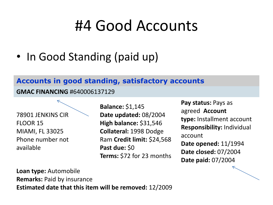### #4 Good Accounts

• In Good Standing (paid up)

### **Accounts in good standing, satisfactory accounts**

**GMAC FINANCING** #640006137129

78901 JENKINS CIR FLOOR 15 MIAMI, FL 33025 Phone number not available

**Balance:** \$1,145 **Date updated:** 08/2004 **High balance:** \$31,546 **Collateral:** 1998 Dodge Ram **Credit limit:** \$24,568 **Past due:** \$0 **Terms:** \$72 for 23 months

**Pay status:** Pays as agreed **Account type:** Installment account **Responsibility:** Individual account **Date opened:** 11/1994 **Date closed:** 07/2004 **Date paid:** 07/2004

**Loan type:** Automobile **Remarks:** Paid by insurance **Estimated date that this item will be removed:** 12/2009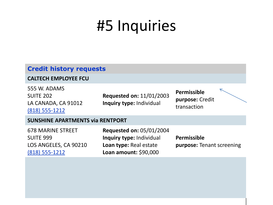## #5 Inquiries

### **Credit history requests**

### **CALTECH EMPLOYEE FCU**

555 W. ADAMS SUITE 202 LA CANADA, CA 91012 (818) 555-1212

**Requested on:** 11/01/2003 **Inquiry type:** Individual

**Permissible purpose:** Credit transaction

### **SUNSHINE APARTMENTS via RENTPORT**

678 MARINE STREET SUITE 999 LOS ANGELES, CA 90210 (818) 555-1212

**Requested on:** 05/01/2004 **Inquiry type:** Individual **Loan type:** Real estate **Loan amount:** \$90,000

**Permissible purpose:** Tenant screening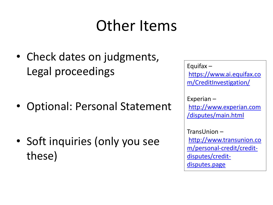## Other Items

• Check dates on judgments, Legal proceedings

• Optional: Personal Statement

• Soft inquiries (only you see these)

Equifax – [https://www.ai.equifax.co](https://www.ai.equifax.com/CreditInvestigation/) [m/CreditInvestigation/](https://www.ai.equifax.com/CreditInvestigation/)

Experian – [http://www.experian.com](http://www.experian.com/disputes/main.html) [/disputes/main.html](http://www.experian.com/disputes/main.html)

TransUnion – [http://www.transunion.co](http://www.transunion.com/personal-credit/credit-disputes/credit-disputes.page) [m/personal-credit/credit](http://www.transunion.com/personal-credit/credit-disputes/credit-disputes.page)[disputes/credit](http://www.transunion.com/personal-credit/credit-disputes/credit-disputes.page)[disputes.page](http://www.transunion.com/personal-credit/credit-disputes/credit-disputes.page)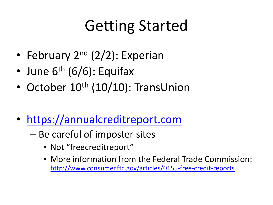## Getting Started

- February  $2^{nd}$  (2/2): Experian
- June  $6<sup>th</sup> (6/6)$ : Equifax
- October  $10^{th}$  (10/10): TransUnion
- [https://annualcreditreport.com](https://annualcreditreport.com/)
	- Be careful of imposter sites
		- Not "freecreditreport"
		- More information from the Federal Trade Commission: <http://www.consumer.ftc.gov/articles/0155-free-credit-reports>